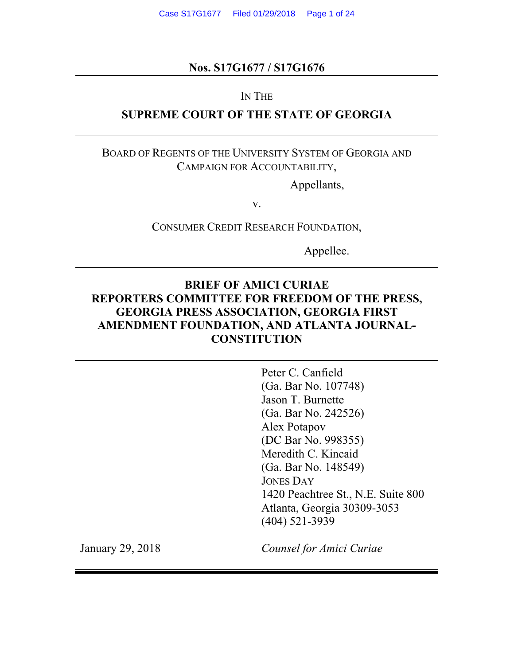### **Nos. S17G1677 / S17G1676**

### IN THE

### **SUPREME COURT OF THE STATE OF GEORGIA**

### BOARD OF REGENTS OF THE UNIVERSITY SYSTEM OF GEORGIA AND CAMPAIGN FOR ACCOUNTABILITY,

Appellants,

v.

CONSUMER CREDIT RESEARCH FOUNDATION,

Appellee.

### **BRIEF OF AMICI CURIAE REPORTERS COMMITTEE FOR FREEDOM OF THE PRESS, GEORGIA PRESS ASSOCIATION, GEORGIA FIRST AMENDMENT FOUNDATION, AND ATLANTA JOURNAL-CONSTITUTION**

Peter C. Canfield (Ga. Bar No. 107748) Jason T. Burnette (Ga. Bar No. 242526) Alex Potapov (DC Bar No. 998355) Meredith C. Kincaid (Ga. Bar No. 148549) JONES DAY 1420 Peachtree St., N.E. Suite 800 Atlanta, Georgia 30309-3053 (404) 521-3939

January 29, 2018

*Counsel for Amici Curiae*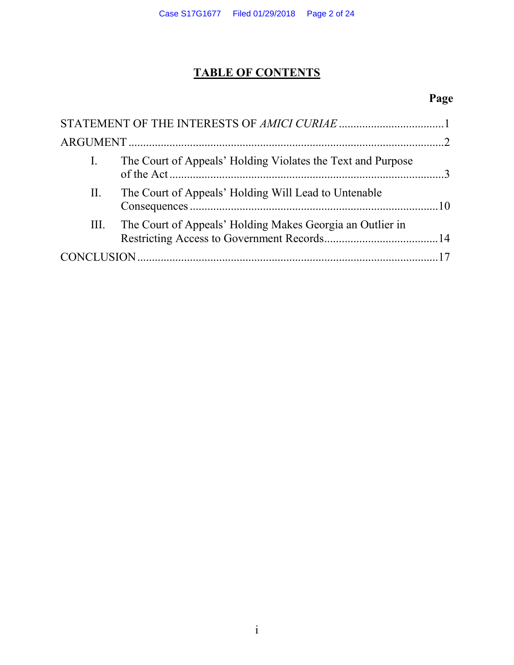# **TABLE OF CONTENTS**

# **Page**

| $\mathbf{I}$ . | The Court of Appeals' Holding Violates the Text and Purpose |  |
|----------------|-------------------------------------------------------------|--|
| П.             | The Court of Appeals' Holding Will Lead to Untenable        |  |
| III.           | The Court of Appeals' Holding Makes Georgia an Outlier in   |  |
|                |                                                             |  |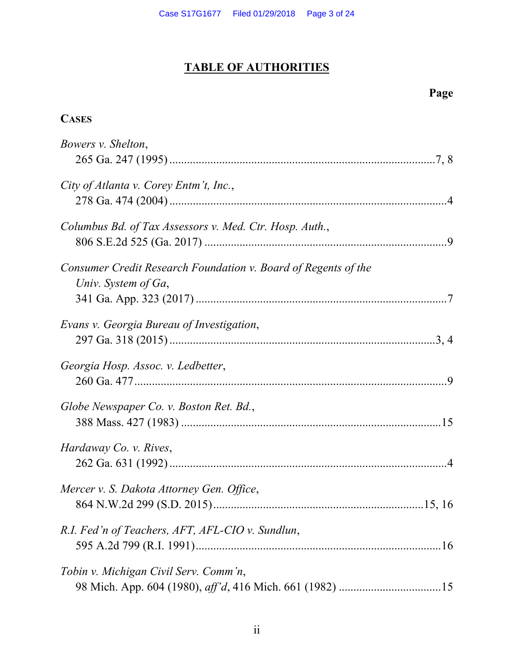# **TABLE OF AUTHORITIES**

### **Page**

### **CASES**

| Bowers v. Shelton,                                                                    |
|---------------------------------------------------------------------------------------|
| City of Atlanta v. Corey Entm't, Inc.,                                                |
| Columbus Bd. of Tax Assessors v. Med. Ctr. Hosp. Auth.,                               |
| Consumer Credit Research Foundation v. Board of Regents of the<br>Univ. System of Ga, |
| Evans v. Georgia Bureau of Investigation,                                             |
| Georgia Hosp. Assoc. v. Ledbetter,                                                    |
| Globe Newspaper Co. v. Boston Ret. Bd.,                                               |
| Hardaway Co. v. Rives,                                                                |
| Mercer v. S. Dakota Attorney Gen. Office,                                             |
| R.I. Fed'n of Teachers, AFT, AFL-CIO v. Sundlun,                                      |
| Tobin v. Michigan Civil Serv. Comm'n,                                                 |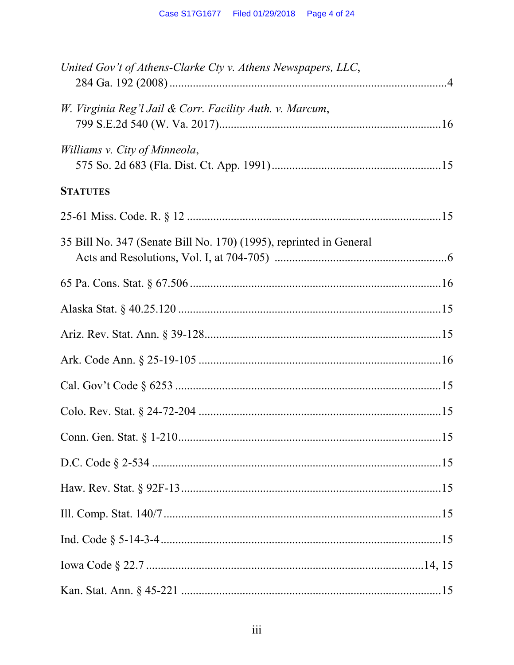| United Gov't of Athens-Clarke Cty v. Athens Newspapers, LLC,       |  |
|--------------------------------------------------------------------|--|
| W. Virginia Reg'l Jail & Corr. Facility Auth. v. Marcum,           |  |
| Williams v. City of Minneola,                                      |  |
| <b>STATUTES</b>                                                    |  |
|                                                                    |  |
| 35 Bill No. 347 (Senate Bill No. 170) (1995), reprinted in General |  |
|                                                                    |  |
|                                                                    |  |
|                                                                    |  |
|                                                                    |  |
|                                                                    |  |
|                                                                    |  |
|                                                                    |  |
|                                                                    |  |
|                                                                    |  |
|                                                                    |  |
|                                                                    |  |
|                                                                    |  |
|                                                                    |  |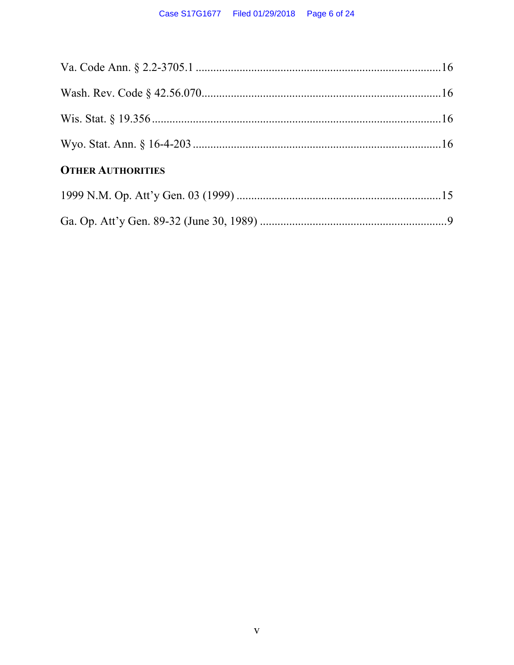| <b>OTHER AUTHORITIES</b> |  |
|--------------------------|--|
|                          |  |
|                          |  |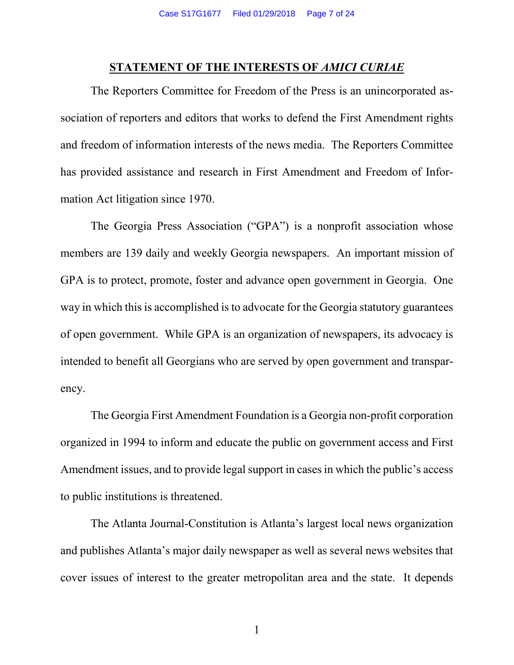### **STATEMENT OF THE INTERESTS OF** *AMICI CURIAE*

The Reporters Committee for Freedom of the Press is an unincorporated association of reporters and editors that works to defend the First Amendment rights and freedom of information interests of the news media. The Reporters Committee has provided assistance and research in First Amendment and Freedom of Information Act litigation since 1970.

The Georgia Press Association ("GPA") is a nonprofit association whose members are 139 daily and weekly Georgia newspapers. An important mission of GPA is to protect, promote, foster and advance open government in Georgia. One way in which this is accomplished is to advocate for the Georgia statutory guarantees of open government. While GPA is an organization of newspapers, its advocacy is intended to benefit all Georgians who are served by open government and transparency.

The Georgia First Amendment Foundation is a Georgia non-profit corporation organized in 1994 to inform and educate the public on government access and First Amendment issues, and to provide legal support in cases in which the public's access to public institutions is threatened.

The Atlanta Journal-Constitution is Atlanta's largest local news organization and publishes Atlanta's major daily newspaper as well as several news websites that cover issues of interest to the greater metropolitan area and the state. It depends

1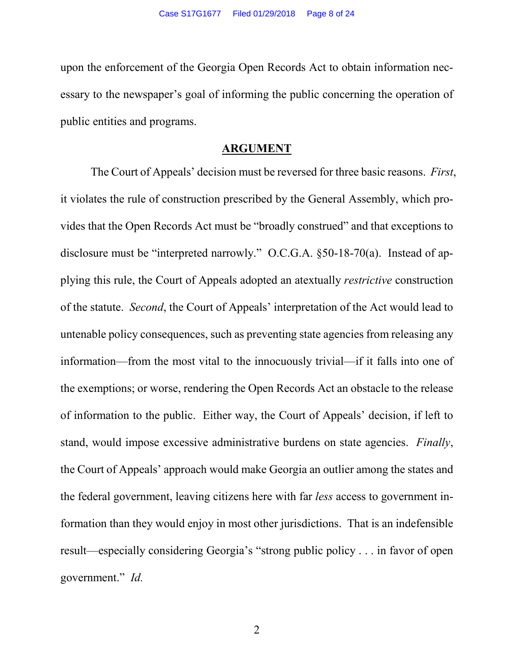upon the enforcement of the Georgia Open Records Act to obtain information necessary to the newspaper's goal of informing the public concerning the operation of public entities and programs.

### **ARGUMENT**

The Court of Appeals' decision must be reversed for three basic reasons. *First*, it violates the rule of construction prescribed by the General Assembly, which provides that the Open Records Act must be "broadly construed" and that exceptions to disclosure must be "interpreted narrowly." O.C.G.A. §50-18-70(a). Instead of applying this rule, the Court of Appeals adopted an atextually *restrictive* construction of the statute. *Second*, the Court of Appeals' interpretation of the Act would lead to untenable policy consequences, such as preventing state agencies from releasing any information—from the most vital to the innocuously trivial—if it falls into one of the exemptions; or worse, rendering the Open Records Act an obstacle to the release of information to the public. Either way, the Court of Appeals' decision, if left to stand, would impose excessive administrative burdens on state agencies. *Finally*, the Court of Appeals' approach would make Georgia an outlier among the states and the federal government, leaving citizens here with far *less* access to government information than they would enjoy in most other jurisdictions. That is an indefensible result—especially considering Georgia's "strong public policy . . . in favor of open government." *Id.*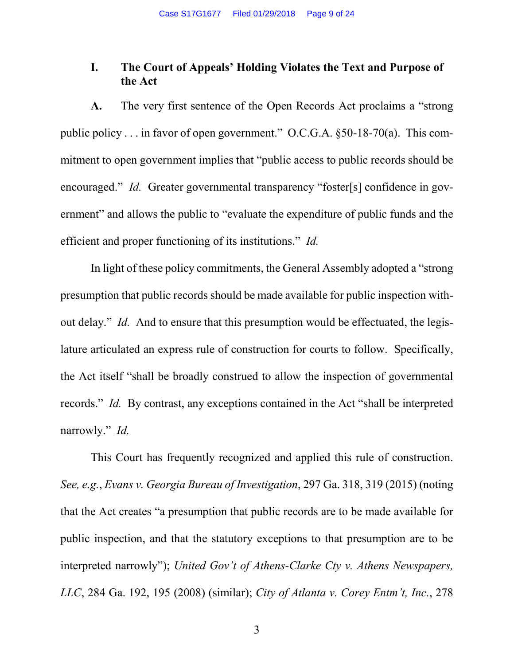### **I. The Court of Appeals' Holding Violates the Text and Purpose of the Act**

**A.** The very first sentence of the Open Records Act proclaims a "strong public policy . . . in favor of open government." O.C.G.A. §50-18-70(a). This commitment to open government implies that "public access to public records should be encouraged." *Id.* Greater governmental transparency "foster[s] confidence in government" and allows the public to "evaluate the expenditure of public funds and the efficient and proper functioning of its institutions." *Id.*

In light of these policy commitments, the General Assembly adopted a "strong presumption that public records should be made available for public inspection without delay." *Id.* And to ensure that this presumption would be effectuated, the legislature articulated an express rule of construction for courts to follow. Specifically, the Act itself "shall be broadly construed to allow the inspection of governmental records." *Id.* By contrast, any exceptions contained in the Act "shall be interpreted narrowly." *Id.* 

<span id="page-8-2"></span><span id="page-8-1"></span><span id="page-8-0"></span>This Court has frequently recognized and applied this rule of construction. *See, e.g.*, *Evans v. Georgia Bureau of Investigation*, 297 Ga. 318, 319 (2015) (noting that the Act creates "a presumption that public records are to be made available for public inspection, and that the statutory exceptions to that presumption are to be interpreted narrowly"); *United Gov't of Athens-Clarke Cty v. Athens Newspapers, LLC*, 284 Ga. 192, 195 (2008) (similar); *City of Atlanta v. Corey Entm't, Inc.*, 278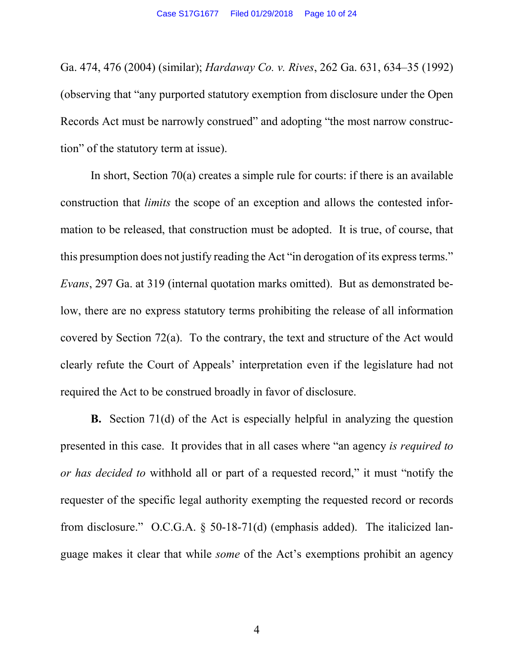<span id="page-9-1"></span>Ga. 474, 476 (2004) (similar); *Hardaway Co. v. Rives*, 262 Ga. 631, 634–35 (1992) (observing that "any purported statutory exemption from disclosure under the Open Records Act must be narrowly construed" and adopting "the most narrow construction" of the statutory term at issue).

<span id="page-9-0"></span>In short, Section  $70(a)$  creates a simple rule for courts: if there is an available construction that *limits* the scope of an exception and allows the contested information to be released, that construction must be adopted. It is true, of course, that this presumption does not justify reading the Act "in derogation of its express terms." *Evans*, 297 Ga. at 319 (internal quotation marks omitted). But as demonstrated below, there are no express statutory terms prohibiting the release of all information covered by Section 72(a). To the contrary, the text and structure of the Act would clearly refute the Court of Appeals' interpretation even if the legislature had not required the Act to be construed broadly in favor of disclosure.

**B.** Section 71(d) of the Act is especially helpful in analyzing the question presented in this case. It provides that in all cases where "an agency *is required to or has decided to* withhold all or part of a requested record," it must "notify the requester of the specific legal authority exempting the requested record or records from disclosure." O.C.G.A. § 50-18-71(d) (emphasis added). The italicized language makes it clear that while *some* of the Act's exemptions prohibit an agency

4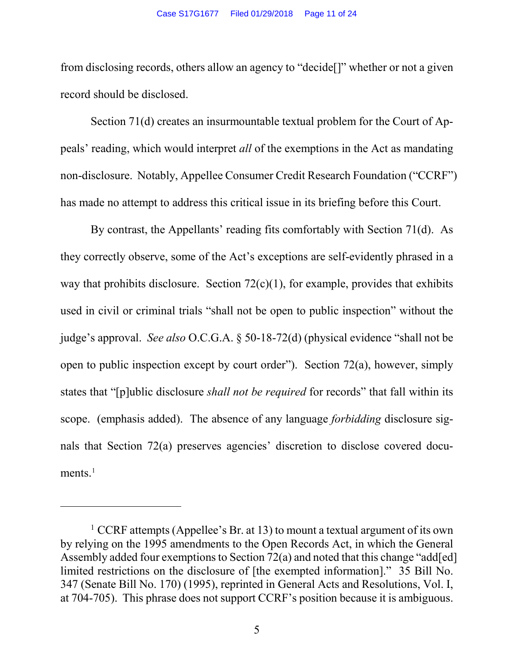from disclosing records, others allow an agency to "decide[]" whether or not a given record should be disclosed.

Section 71(d) creates an insurmountable textual problem for the Court of Appeals' reading, which would interpret *all* of the exemptions in the Act as mandating non-disclosure. Notably, Appellee Consumer Credit Research Foundation ("CCRF") has made no attempt to address this critical issue in its briefing before this Court.

By contrast, the Appellants' reading fits comfortably with Section 71(d). As they correctly observe, some of the Act's exceptions are self-evidently phrased in a way that prohibits disclosure. Section  $72(c)(1)$ , for example, provides that exhibits used in civil or criminal trials "shall not be open to public inspection" without the judge's approval. *See also* O.C.G.A. § 50-18-72(d) (physical evidence "shall not be open to public inspection except by court order"). Section  $72(a)$ , however, simply states that "[p]ublic disclosure *shall not be required* for records" that fall within its scope. (emphasis added). The absence of any language *forbidding* disclosure signals that Section 72(a) preserves agencies' discretion to disclose covered documents. $<sup>1</sup>$ </sup>

 $\overline{a}$ 

<span id="page-10-0"></span><sup>&</sup>lt;sup>1</sup> CCRF attempts (Appellee's Br. at 13) to mount a textual argument of its own by relying on the 1995 amendments to the Open Records Act, in which the General Assembly added four exemptions to Section 72(a) and noted that this change "add[ed] limited restrictions on the disclosure of [the exempted information]." 35 Bill No. 347 (Senate Bill No. 170) (1995), reprinted in General Acts and Resolutions, Vol. I, at 704-705). This phrase does not support CCRF's position because it is ambiguous.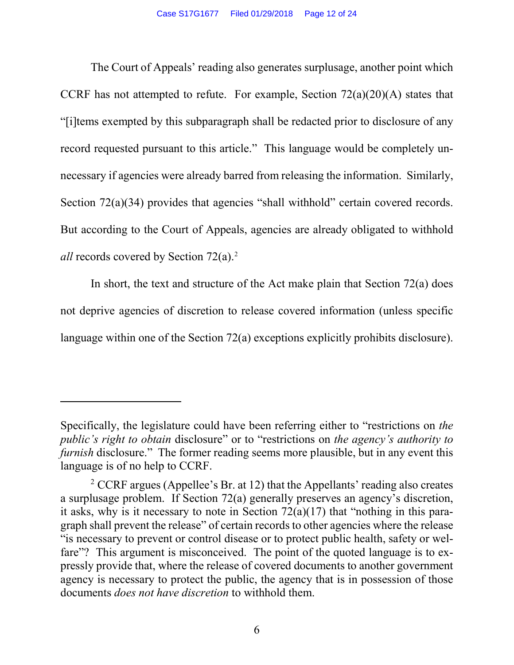The Court of Appeals' reading also generates surplusage, another point which CCRF has not attempted to refute. For example, Section  $72(a)(20)(A)$  states that "[i]tems exempted by this subparagraph shall be redacted prior to disclosure of any record requested pursuant to this article." This language would be completely unnecessary if agencies were already barred from releasing the information. Similarly, Section 72(a)(34) provides that agencies "shall withhold" certain covered records. But according to the Court of Appeals, agencies are already obligated to withhold *all* records covered by Section 72(a).<sup>2</sup>

In short, the text and structure of the Act make plain that Section  $72(a)$  does not deprive agencies of discretion to release covered information (unless specific language within one of the Section 72(a) exceptions explicitly prohibits disclosure).

 $\overline{a}$ 

Specifically, the legislature could have been referring either to "restrictions on *the public's right to obtain* disclosure" or to "restrictions on *the agency's authority to furnish* disclosure." The former reading seems more plausible, but in any event this language is of no help to CCRF.

<span id="page-11-0"></span><sup>&</sup>lt;sup>2</sup> CCRF argues (Appellee's Br. at 12) that the Appellants' reading also creates a surplusage problem. If Section 72(a) generally preserves an agency's discretion, it asks, why is it necessary to note in Section  $72(a)(17)$  that "nothing in this paragraph shall prevent the release" of certain records to other agencies where the release "is necessary to prevent or control disease or to protect public health, safety or welfare"? This argument is misconceived. The point of the quoted language is to expressly provide that, where the release of covered documents to another government agency is necessary to protect the public, the agency that is in possession of those documents *does not have discretion* to withhold them.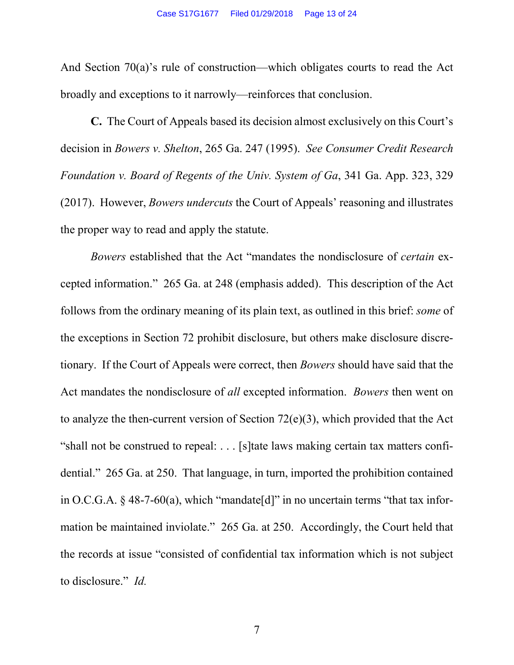And Section 70(a)'s rule of construction—which obligates courts to read the Act broadly and exceptions to it narrowly—reinforces that conclusion.

<span id="page-12-2"></span><span id="page-12-0"></span>**C.** The Court of Appeals based its decision almost exclusively on this Court's decision in *Bowers v. Shelton*, 265 Ga. 247 (1995). *See Consumer Credit Research Foundation v. Board of Regents of the Univ. System of Ga*, 341 Ga. App. 323, 329 (2017). However, *Bowers undercuts* the Court of Appeals' reasoning and illustrates the proper way to read and apply the statute.

<span id="page-12-3"></span><span id="page-12-1"></span>*Bowers* established that the Act "mandates the nondisclosure of *certain* excepted information." 265 Ga. at 248 (emphasis added). This description of the Act follows from the ordinary meaning of its plain text, as outlined in this brief: *some* of the exceptions in Section 72 prohibit disclosure, but others make disclosure discretionary. If the Court of Appeals were correct, then *Bowers* should have said that the Act mandates the nondisclosure of *all* excepted information. *Bowers* then went on to analyze the then-current version of Section 72(e)(3), which provided that the Act "shall not be construed to repeal: . . . [s]tate laws making certain tax matters confidential." 265 Ga. at 250. That language, in turn, imported the prohibition contained in O.C.G.A.  $\&$  48-7-60(a), which "mandate [d]" in no uncertain terms "that tax information be maintained inviolate." 265 Ga. at 250. Accordingly, the Court held that the records at issue "consisted of confidential tax information which is not subject to disclosure." *Id.*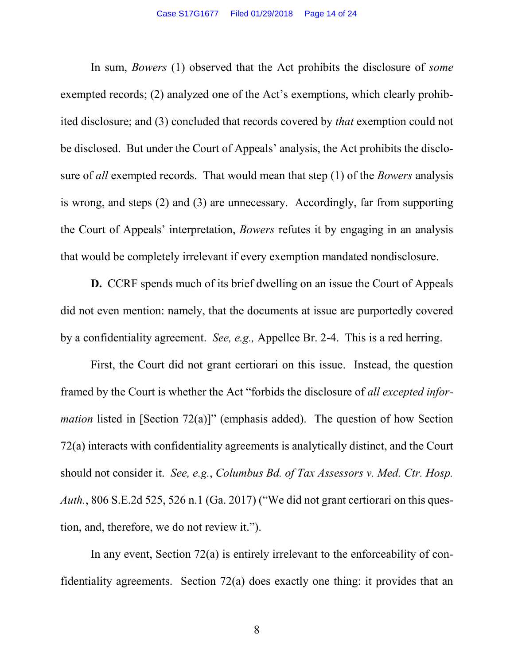In sum, *Bowers* (1) observed that the Act prohibits the disclosure of *some*  exempted records; (2) analyzed one of the Act's exemptions, which clearly prohibited disclosure; and (3) concluded that records covered by *that* exemption could not be disclosed. But under the Court of Appeals' analysis, the Act prohibits the disclosure of *all* exempted records. That would mean that step (1) of the *Bowers* analysis is wrong, and steps (2) and (3) are unnecessary. Accordingly, far from supporting the Court of Appeals' interpretation, *Bowers* refutes it by engaging in an analysis that would be completely irrelevant if every exemption mandated nondisclosure.

**D.** CCRF spends much of its brief dwelling on an issue the Court of Appeals did not even mention: namely, that the documents at issue are purportedly covered by a confidentiality agreement. *See, e.g.,* Appellee Br. 2-4. This is a red herring.

First, the Court did not grant certiorari on this issue. Instead, the question framed by the Court is whether the Act "forbids the disclosure of *all excepted information* listed in [Section 72(a)]" (emphasis added). The question of how Section 72(a) interacts with confidentiality agreements is analytically distinct, and the Court should not consider it. *See, e.g.*, *Columbus Bd. of Tax Assessors v. Med. Ctr. Hosp. Auth.*, 806 S.E.2d 525, 526 n.1 (Ga. 2017) ("We did not grant certiorari on this question, and, therefore, we do not review it.").

<span id="page-13-0"></span>In any event, Section 72(a) is entirely irrelevant to the enforceability of confidentiality agreements. Section 72(a) does exactly one thing: it provides that an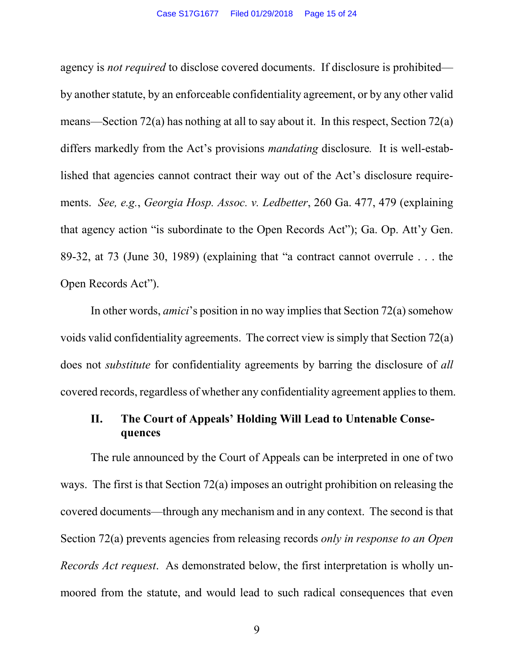agency is *not required* to disclose covered documents. If disclosure is prohibited by another statute, by an enforceable confidentiality agreement, or by any other valid means—Section 72(a) has nothing at all to say about it. In this respect, Section 72(a) differs markedly from the Act's provisions *mandating* disclosure*.* It is well-established that agencies cannot contract their way out of the Act's disclosure requirements. *See, e.g.*, *Georgia Hosp. Assoc. v. Ledbetter*, 260 Ga. 477, 479 (explaining that agency action "is subordinate to the Open Records Act"); Ga. Op. Att'y Gen. 89-32, at 73 (June 30, 1989) (explaining that "a contract cannot overrule . . . the Open Records Act").

<span id="page-14-1"></span><span id="page-14-0"></span>In other words, *amici*'s position in no way implies that Section 72(a) somehow voids valid confidentiality agreements. The correct view is simply that Section 72(a) does not *substitute* for confidentiality agreements by barring the disclosure of *all*  covered records, regardless of whether any confidentiality agreement applies to them.

### **II. The Court of Appeals' Holding Will Lead to Untenable Consequences**

The rule announced by the Court of Appeals can be interpreted in one of two ways. The first is that Section 72(a) imposes an outright prohibition on releasing the covered documents—through any mechanism and in any context. The second is that Section 72(a) prevents agencies from releasing records *only in response to an Open Records Act request*. As demonstrated below, the first interpretation is wholly unmoored from the statute, and would lead to such radical consequences that even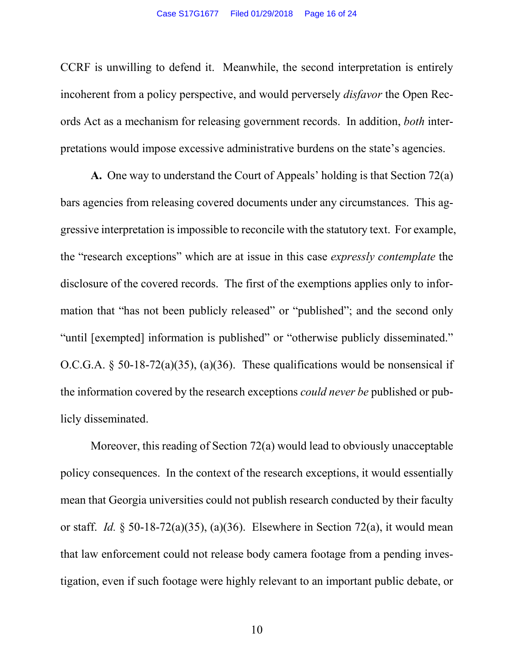CCRF is unwilling to defend it. Meanwhile, the second interpretation is entirely incoherent from a policy perspective, and would perversely *disfavor* the Open Records Act as a mechanism for releasing government records. In addition, *both* interpretations would impose excessive administrative burdens on the state's agencies.

**A.** One way to understand the Court of Appeals' holding is that Section 72(a) bars agencies from releasing covered documents under any circumstances. This aggressive interpretation is impossible to reconcile with the statutory text. For example, the "research exceptions" which are at issue in this case *expressly contemplate* the disclosure of the covered records. The first of the exemptions applies only to information that "has not been publicly released" or "published"; and the second only "until [exempted] information is published" or "otherwise publicly disseminated." O.C.G.A.  $\delta$  50-18-72(a)(35), (a)(36). These qualifications would be nonsensical if the information covered by the research exceptions *could never be* published or publicly disseminated.

Moreover, this reading of Section 72(a) would lead to obviously unacceptable policy consequences. In the context of the research exceptions, it would essentially mean that Georgia universities could not publish research conducted by their faculty or staff. *Id.* § 50-18-72(a)(35), (a)(36). Elsewhere in Section 72(a), it would mean that law enforcement could not release body camera footage from a pending investigation, even if such footage were highly relevant to an important public debate, or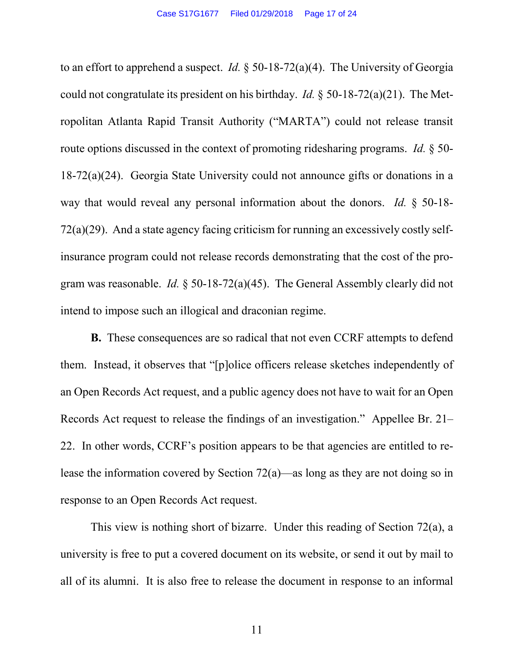to an effort to apprehend a suspect. *Id.* § 50-18-72(a)(4). The University of Georgia could not congratulate its president on his birthday. *Id.* § 50-18-72(a)(21). The Metropolitan Atlanta Rapid Transit Authority ("MARTA") could not release transit route options discussed in the context of promoting ridesharing programs. *Id.* § 50- 18-72(a)(24). Georgia State University could not announce gifts or donations in a way that would reveal any personal information about the donors. *Id.* § 50-18- 72(a)(29). And a state agency facing criticism for running an excessively costly selfinsurance program could not release records demonstrating that the cost of the program was reasonable. *Id.* § 50-18-72(a)(45). The General Assembly clearly did not intend to impose such an illogical and draconian regime.

**B.** These consequences are so radical that not even CCRF attempts to defend them. Instead, it observes that "[p]olice officers release sketches independently of an Open Records Act request, and a public agency does not have to wait for an Open Records Act request to release the findings of an investigation." Appellee Br. 21– 22. In other words, CCRF's position appears to be that agencies are entitled to release the information covered by Section 72(a)—as long as they are not doing so in response to an Open Records Act request.

This view is nothing short of bizarre. Under this reading of Section 72(a), a university is free to put a covered document on its website, or send it out by mail to all of its alumni. It is also free to release the document in response to an informal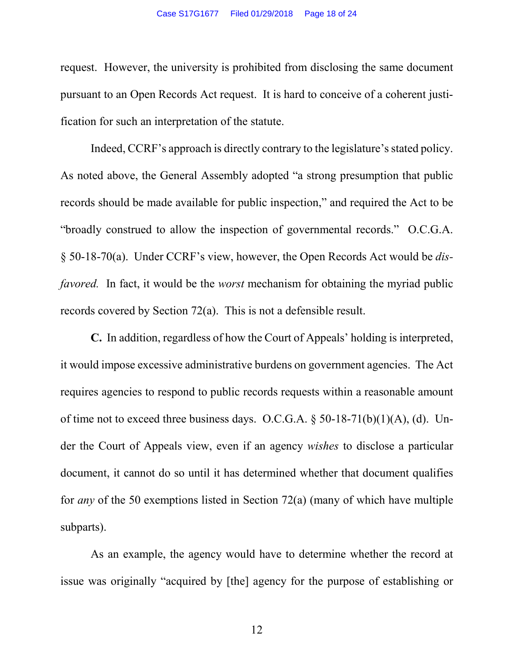request. However, the university is prohibited from disclosing the same document pursuant to an Open Records Act request. It is hard to conceive of a coherent justification for such an interpretation of the statute.

Indeed, CCRF's approach is directly contrary to the legislature's stated policy. As noted above, the General Assembly adopted "a strong presumption that public records should be made available for public inspection," and required the Act to be "broadly construed to allow the inspection of governmental records." O.C.G.A. § 50-18-70(a). Under CCRF's view, however, the Open Records Act would be *disfavored.* In fact, it would be the *worst* mechanism for obtaining the myriad public records covered by Section 72(a). This is not a defensible result.

**C.** In addition, regardless of how the Court of Appeals' holding is interpreted, it would impose excessive administrative burdens on government agencies. The Act requires agencies to respond to public records requests within a reasonable amount of time not to exceed three business days. O.C.G.A.  $\S$  50-18-71(b)(1)(A), (d). Under the Court of Appeals view, even if an agency *wishes* to disclose a particular document, it cannot do so until it has determined whether that document qualifies for *any* of the 50 exemptions listed in Section 72(a) (many of which have multiple subparts).

As an example, the agency would have to determine whether the record at issue was originally "acquired by [the] agency for the purpose of establishing or

<span id="page-17-0"></span>12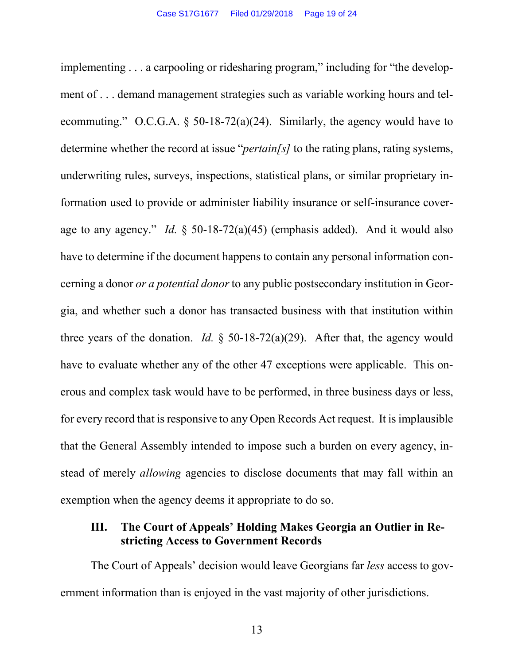implementing . . . a carpooling or ridesharing program," including for "the development of . . . demand management strategies such as variable working hours and telecommuting." O.C.G.A. § 50-18-72(a)(24). Similarly, the agency would have to determine whether the record at issue "*pertain[s]* to the rating plans, rating systems, underwriting rules, surveys, inspections, statistical plans, or similar proprietary information used to provide or administer liability insurance or self-insurance coverage to any agency." *Id.* § 50-18-72(a)(45) (emphasis added). And it would also have to determine if the document happens to contain any personal information concerning a donor *or a potential donor* to any public postsecondary institution in Georgia, and whether such a donor has transacted business with that institution within three years of the donation. *Id.* § 50-18-72(a)(29). After that, the agency would have to evaluate whether any of the other 47 exceptions were applicable. This onerous and complex task would have to be performed, in three business days or less, for every record that is responsive to any Open Records Act request. It is implausible that the General Assembly intended to impose such a burden on every agency, instead of merely *allowing* agencies to disclose documents that may fall within an exemption when the agency deems it appropriate to do so.

### **III. The Court of Appeals' Holding Makes Georgia an Outlier in Restricting Access to Government Records**

The Court of Appeals' decision would leave Georgians far *less* access to government information than is enjoyed in the vast majority of other jurisdictions.

13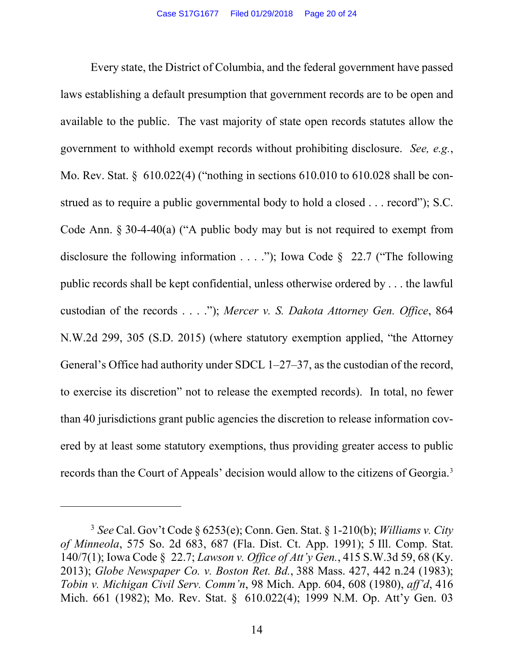<span id="page-19-9"></span><span id="page-19-8"></span><span id="page-19-7"></span>Every state, the District of Columbia, and the federal government have passed laws establishing a default presumption that government records are to be open and available to the public. The vast majority of state open records statutes allow the government to withhold exempt records without prohibiting disclosure. *See, e.g.*, Mo. Rev. Stat. § 610.022(4) ("nothing in sections 610.010 to 610.028 shall be construed as to require a public governmental body to hold a closed . . . record"); S.C. Code Ann. § 30-4-40(a) ("A public body may but is not required to exempt from disclosure the following information  $\dots$  ..."); Iowa Code § 22.7 ("The following public records shall be kept confidential, unless otherwise ordered by . . . the lawful custodian of the records . . . ."); *Mercer v. S. Dakota Attorney Gen. Office*, 864 N.W.2d 299, 305 (S.D. 2015) (where statutory exemption applied, "the Attorney General's Office had authority under SDCL 1–27–37, as the custodian of the record, to exercise its discretion" not to release the exempted records). In total, no fewer than 40 jurisdictions grant public agencies the discretion to release information covered by at least some statutory exemptions, thus providing greater access to public records than the Court of Appeals' decision would allow to the citizens of Georgia.<sup>[3](#page-19-11)</sup>

<span id="page-19-6"></span><span id="page-19-5"></span><span id="page-19-3"></span><span id="page-19-1"></span> $\overline{a}$ 

<span id="page-19-11"></span><span id="page-19-10"></span><span id="page-19-4"></span><span id="page-19-2"></span><span id="page-19-0"></span><sup>3</sup> *See* Cal. Gov't Code § 6253(e); Conn. Gen. Stat. § 1-210(b); *Williams v. City of Minneola*, 575 So. 2d 683, 687 (Fla. Dist. Ct. App. 1991); 5 Ill. Comp. Stat. 140/7(1); Iowa Code § 22.7; *Lawson v. Office of Att'y Gen.*, 415 S.W.3d 59, 68 (Ky. 2013); *Globe Newspaper Co. v. Boston Ret. Bd.*, 388 Mass. 427, 442 n.24 (1983); *Tobin v. Michigan Civil Serv. Comm'n*, 98 Mich. App. 604, 608 (1980), *aff'd*, 416 Mich. 661 (1982); Mo. Rev. Stat. § 610.022(4); 1999 N.M. Op. Att'y Gen. 03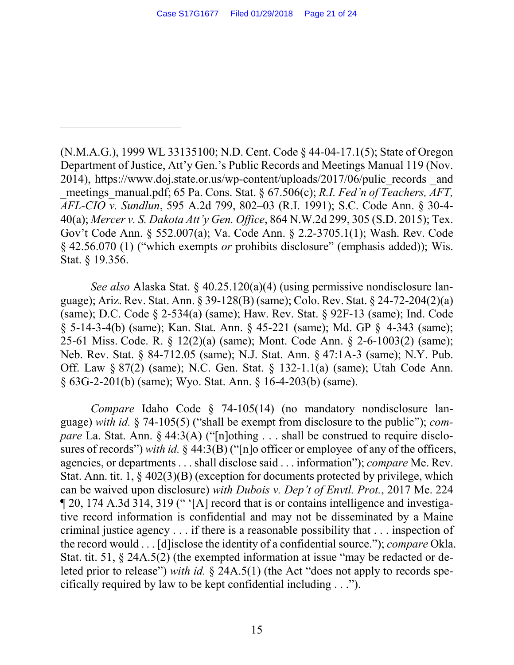<span id="page-20-22"></span><span id="page-20-21"></span><span id="page-20-3"></span><span id="page-20-1"></span><span id="page-20-0"></span>(N.M.A.G.), 1999 WL 33135100; N.D. Cent. Code § 44-04-17.1(5); State of Oregon Department of Justice, Att'y Gen.'s Public Records and Meetings Manual 119 (Nov. 2014), https://www.doj.state.or.us/wp-content/uploads/2017/06/pulic\_records \_and meetings\_manual.pdf; 65 Pa. Cons. Stat. § 67.506(c); *R.I. Fed'n of Teachers, AFT, AFL-CIO v. Sundlun*, 595 A.2d 799, 802–03 (R.I. 1991); S.C. Code Ann. § 30-4- 40(a); *Mercer v. S. Dakota Att'y Gen. Office*, 864 N.W.2d 299, 305 (S.D. 2015); Tex. Gov't Code Ann. § 552.007(a); Va. Code Ann. § 2.2-3705.1(1); Wash. Rev. Code § 42.56.070 (1) ("which exempts *or* prohibits disclosure" (emphasis added)); Wis. Stat. § 19.356.

<span id="page-20-20"></span><span id="page-20-16"></span> $\overline{a}$ 

<span id="page-20-26"></span><span id="page-20-25"></span><span id="page-20-24"></span><span id="page-20-14"></span><span id="page-20-12"></span><span id="page-20-10"></span><span id="page-20-9"></span><span id="page-20-8"></span><span id="page-20-7"></span><span id="page-20-6"></span><span id="page-20-5"></span><span id="page-20-4"></span><span id="page-20-2"></span>*See also* Alaska Stat. § 40.25.120(a)(4) (using permissive nondisclosure language); Ariz. Rev. Stat. Ann. § 39-128(B) (same); Colo. Rev. Stat. § 24-72-204(2)(a) (same); D.C. Code § 2-534(a) (same); Haw. Rev. Stat. § 92F-13 (same); Ind. Code § 5-14-3-4(b) (same); Kan. Stat. Ann. § 45-221 (same); Md. GP § 4-343 (same); 25-61 Miss. Code. R. § 12(2)(a) (same); Mont. Code Ann. § 2-6-1003(2) (same); Neb. Rev. Stat. § 84-712.05 (same); N.J. Stat. Ann. § 47:1A-3 (same); N.Y. Pub. Off. Law § 87(2) (same); N.C. Gen. Stat. § 132-1.1(a) (same); Utah Code Ann. § 63G-2-201(b) (same); Wyo. Stat. Ann. § 16-4-203(b) (same).

<span id="page-20-27"></span><span id="page-20-23"></span><span id="page-20-19"></span><span id="page-20-18"></span><span id="page-20-17"></span><span id="page-20-15"></span><span id="page-20-13"></span><span id="page-20-11"></span>*Compare* Idaho Code § 74-105(14) (no mandatory nondisclosure language) *with id.* § 74-105(5) ("shall be exempt from disclosure to the public"); *compare* La. Stat. Ann. § 44:3(A) ("[n]othing . . . shall be construed to require disclosures of records") *with id.* § 44:3(B) ("[n]o officer or employee of any of the officers, agencies, or departments . . . shall disclose said . . . information"); *compare* Me. Rev. Stat. Ann. tit. 1, § 402(3)(B) (exception for documents protected by privilege, which can be waived upon disclosure) *with Dubois v. Dep't of Envtl. Prot.*, 2017 Me. 224 ¶ 20, 174 A.3d 314, 319 (" '[A] record that is or contains intelligence and investigative record information is confidential and may not be disseminated by a Maine criminal justice agency . . . if there is a reasonable possibility that . . . inspection of the record would . . . [d]isclose the identity of a confidential source."); *compare* Okla. Stat. tit. 51, § 24A.5(2) (the exempted information at issue "may be redacted or deleted prior to release") *with id.* § 24A.5(1) (the Act "does not apply to records specifically required by law to be kept confidential including . . .").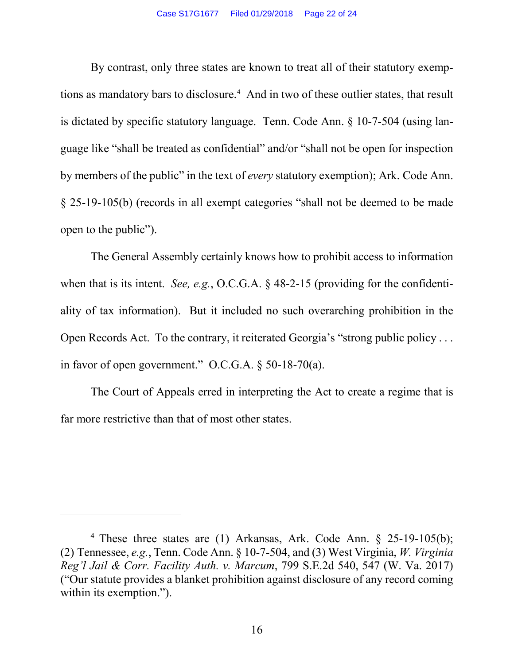<span id="page-21-2"></span>By contrast, only three states are known to treat all of their statutory exemp-tions as mandatory bars to disclosure.<sup>[4](#page-21-3)</sup> And in two of these outlier states, that result is dictated by specific statutory language. Tenn. Code Ann. § 10-7-504 (using language like "shall be treated as confidential" and/or "shall not be open for inspection by members of the public" in the text of *every* statutory exemption); Ark. Code Ann. § 25-19-105(b) (records in all exempt categories "shall not be deemed to be made open to the public").

The General Assembly certainly knows how to prohibit access to information when that is its intent. *See, e.g.*, O.C.G.A. § 48-2-15 (providing for the confidentiality of tax information). But it included no such overarching prohibition in the Open Records Act. To the contrary, it reiterated Georgia's "strong public policy . . . in favor of open government." O.C.G.A. § 50-18-70(a).

The Court of Appeals erred in interpreting the Act to create a regime that is far more restrictive than that of most other states.

<span id="page-21-1"></span><span id="page-21-0"></span> $\overline{a}$ 

<span id="page-21-3"></span><sup>&</sup>lt;sup>4</sup> These three states are (1) Arkansas, Ark. Code Ann. § 25-19-105(b); (2) Tennessee, *e.g.*, Tenn. Code Ann. § 10-7-504, and (3) West Virginia, *W. Virginia Reg'l Jail & Corr. Facility Auth. v. Marcum*, 799 S.E.2d 540, 547 (W. Va. 2017) ("Our statute provides a blanket prohibition against disclosure of any record coming within its exemption.").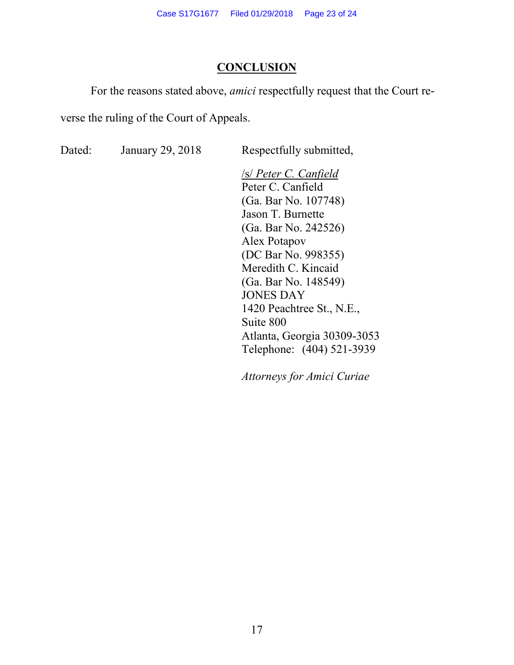### **CONCLUSION**

For the reasons stated above, *amici* respectfully request that the Court re-

verse the ruling of the Court of Appeals.

Dated: January 29, 2018 Respectfully submitted,

/s/ *Peter C. Canfield* Peter C. Canfield (Ga. Bar No. 107748) Jason T. Burnette (Ga. Bar No. 242526) Alex Potapov (DC Bar No. 998355) Meredith C. Kincaid (Ga. Bar No. 148549) JONES DAY 1420 Peachtree St., N.E., Suite 800 Atlanta, Georgia 30309-3053 Telephone: (404) 521-3939

*Attorneys for Amici Curiae*